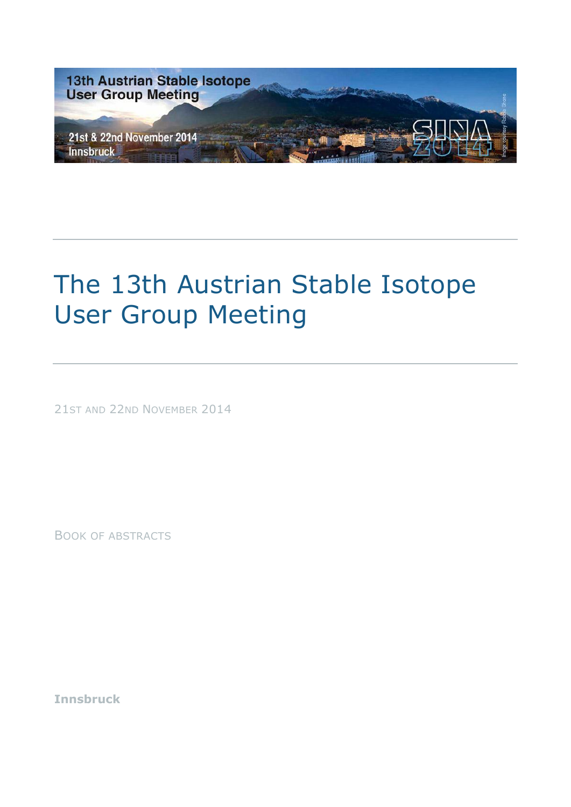

# The 13th Austrian Stable Isotope User Group Meeting

21ST AND 22ND NOVEMBER 2014

BOOK OF ABSTRACTS

**Innsbruck**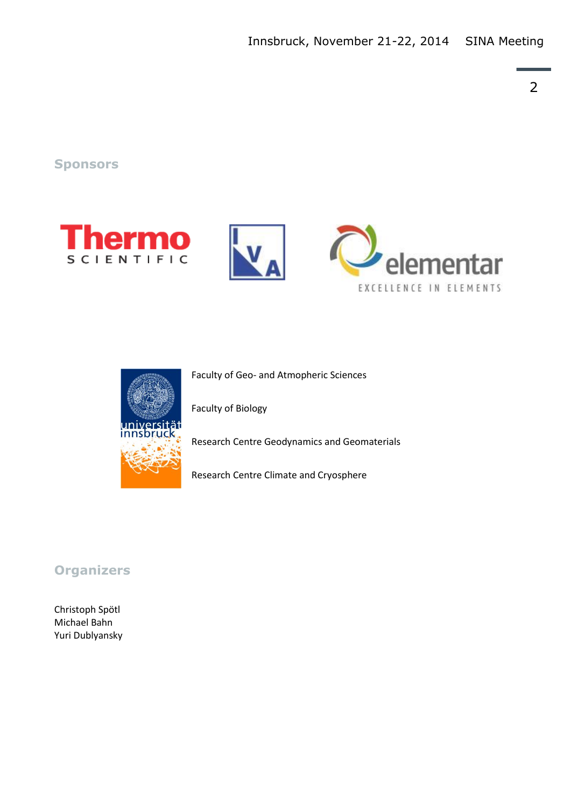**Sponsors**





Faculty of Geo- and Atmopheric Sciences

Faculty of Biology

Research Centre Geodynamics and Geomaterials

Research Centre Climate and Cryosphere

## **Organizers**

Christoph Spötl Michael Bahn Yuri Dublyansky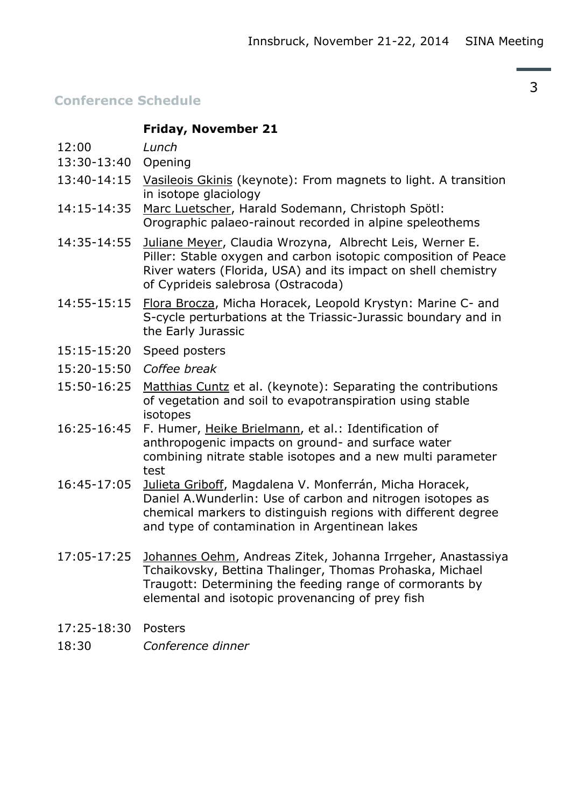## **Conference Schedule**

#### **Friday, November 21**

- 12:00 *Lunch*
- 13:30-13:40 Opening
- 13:40-14:15 Vasileois Gkinis (keynote): From magnets to light. A transition in isotope glaciology
- 14:15-14:35 Marc Luetscher, Harald Sodemann, Christoph Spötl: Orographic palaeo-rainout recorded in alpine speleothems
- 14:35-14:55 Juliane Meyer, Claudia Wrozyna, Albrecht Leis, Werner E. Piller: Stable oxygen and carbon isotopic composition of Peace River waters (Florida, USA) and its impact on shell chemistry of Cyprideis salebrosa (Ostracoda)
- 14:55-15:15 Flora Brocza, Micha Horacek, Leopold Krystyn: Marine C- and S-cycle perturbations at the Triassic-Jurassic boundary and in the Early Jurassic
- 15:15-15:20 Speed posters
- 15:20-15:50 *Coffee break*
- 15:50-16:25 Matthias Cuntz et al. (keynote): Separating the contributions of vegetation and soil to evapotranspiration using stable isotopes
- 16:25-16:45 F. Humer, Heike Brielmann, et al.: Identification of anthropogenic impacts on ground- and surface water combining nitrate stable isotopes and a new multi parameter test
- 16:45-17:05 Julieta Griboff, Magdalena V. Monferrán, Micha Horacek, Daniel A.Wunderlin: Use of carbon and nitrogen isotopes as chemical markers to distinguish regions with different degree and type of contamination in Argentinean lakes
- 17:05-17:25 Johannes Oehm, Andreas Zitek, Johanna Irrgeher, Anastassiya Tchaikovsky, Bettina Thalinger, Thomas Prohaska, Michael Traugott: Determining the feeding range of cormorants by elemental and isotopic provenancing of prey fish
- 17:25-18:30 Posters
- 18:30 *Conference dinner*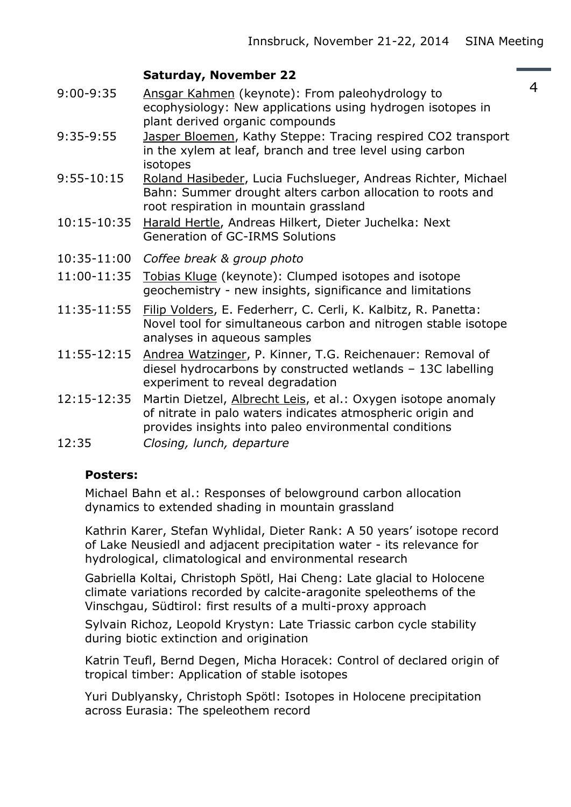## **Saturday, November 22**

- 9:00-9:35 Ansgar Kahmen (keynote): From paleohydrology to ecophysiology: New applications using hydrogen isotopes in plant derived organic compounds
- 9:35-9:55 Jasper Bloemen, Kathy Steppe: Tracing respired CO2 transport in the xylem at leaf, branch and tree level using carbon isotopes
- 9:55-10:15 Roland Hasibeder, Lucia Fuchslueger, Andreas Richter, Michael Bahn: Summer drought alters carbon allocation to roots and root respiration in mountain grassland
- 10:15-10:35 Harald Hertle, Andreas Hilkert, Dieter Juchelka: Next Generation of GC-IRMS Solutions
- 10:35-11:00 *Coffee break & group photo*
- 11:00-11:35 Tobias Kluge (keynote): Clumped isotopes and isotope geochemistry - new insights, significance and limitations
- 11:35-11:55 Filip Volders, E. Federherr, C. Cerli, K. Kalbitz, R. Panetta: Novel tool for simultaneous carbon and nitrogen stable isotope analyses in aqueous samples
- 11:55-12:15 Andrea Watzinger, P. Kinner, T.G. Reichenauer: Removal of diesel hydrocarbons by constructed wetlands – 13C labelling experiment to reveal degradation
- 12:15-12:35 Martin Dietzel, Albrecht Leis, et al.: Oxygen isotope anomaly of nitrate in palo waters indicates atmospheric origin and provides insights into paleo environmental conditions
- 12:35 *Closing, lunch, departure*

#### **Posters:**

Michael Bahn et al.: Responses of belowground carbon allocation dynamics to extended shading in mountain grassland

Kathrin Karer, Stefan Wyhlidal, Dieter Rank: A 50 years' isotope record of Lake Neusiedl and adjacent precipitation water - its relevance for hydrological, climatological and environmental research

Gabriella Koltai, Christoph Spötl, Hai Cheng: Late glacial to Holocene climate variations recorded by calcite-aragonite speleothems of the Vinschgau, Südtirol: first results of a multi-proxy approach

Sylvain Richoz, Leopold Krystyn: Late Triassic carbon cycle stability during biotic extinction and origination

Katrin Teufl, Bernd Degen, Micha Horacek: Control of declared origin of tropical timber: Application of stable isotopes

Yuri Dublyansky, Christoph Spötl: Isotopes in Holocene precipitation across Eurasia: The speleothem record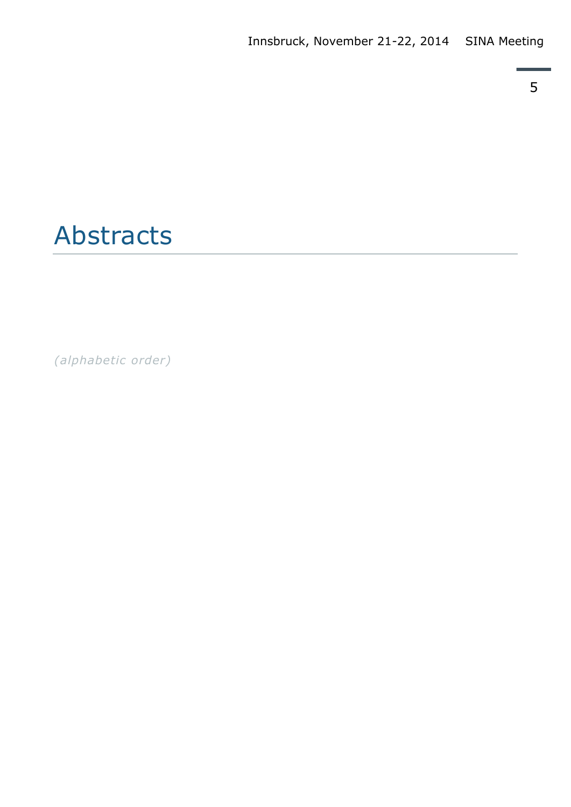5

# Abstracts

*(alphabetic order)*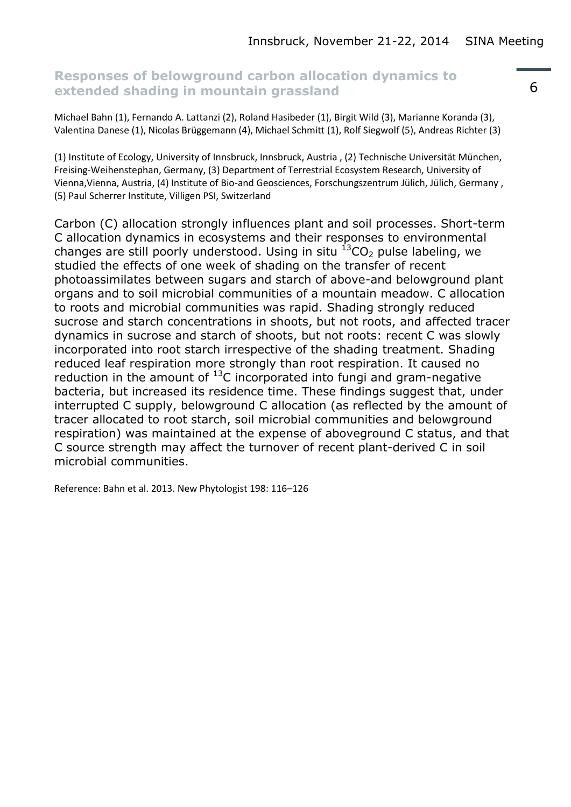## **Responses of belowground carbon allocation dynamics to extended shading in mountain grassland**

Michael Bahn (1), Fernando A. Lattanzi (2), Roland Hasibeder (1), Birgit Wild (3), Marianne Koranda (3), Valentina Danese (1), Nicolas Brüggemann (4), Michael Schmitt (1), Rolf Siegwolf (5), Andreas Richter (3)

(1) Institute of Ecology, University of Innsbruck, Innsbruck, Austria , (2) Technische Universität München, Freising-Weihenstephan, Germany, (3) Department of Terrestrial Ecosystem Research, University of Vienna,Vienna, Austria, (4) Institute of Bio-and Geosciences, Forschungszentrum Jülich, Jülich, Germany , (5) Paul Scherrer Institute, Villigen PSI, Switzerland

Carbon (C) allocation strongly influences plant and soil processes. Short-term C allocation dynamics in ecosystems and their responses to environmental changes are still poorly understood. Using in situ  $^{13}$ CO<sub>2</sub> pulse labeling, we studied the effects of one week of shading on the transfer of recent photoassimilates between sugars and starch of above-and belowground plant organs and to soil microbial communities of a mountain meadow. C allocation to roots and microbial communities was rapid. Shading strongly reduced sucrose and starch concentrations in shoots, but not roots, and affected tracer dynamics in sucrose and starch of shoots, but not roots: recent C was slowly incorporated into root starch irrespective of the shading treatment. Shading reduced leaf respiration more strongly than root respiration. It caused no reduction in the amount of  $^{13}$ C incorporated into fungi and gram-negative bacteria, but increased its residence time. These findings suggest that, under interrupted C supply, belowground C allocation (as reflected by the amount of tracer allocated to root starch, soil microbial communities and belowground respiration) was maintained at the expense of aboveground C status, and that C source strength may affect the turnover of recent plant-derived C in soil microbial communities.

Reference: Bahn et al. 2013. New Phytologist 198: 116–126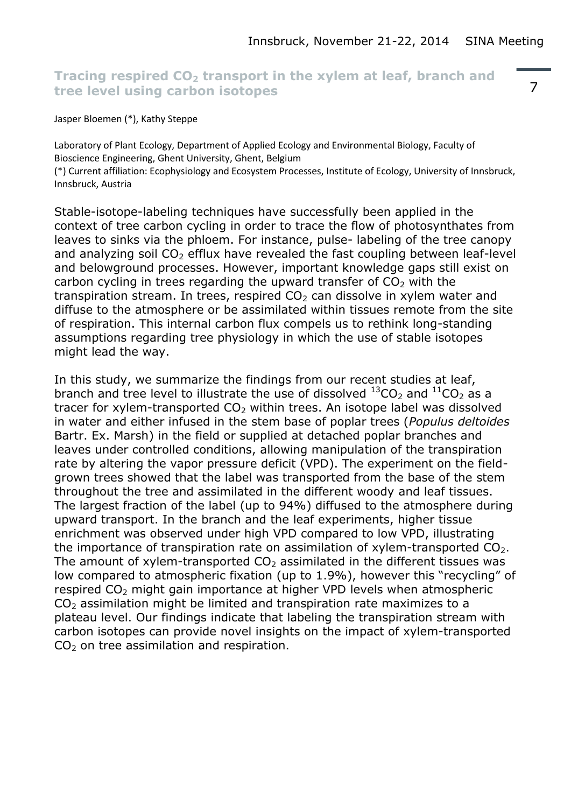### **Tracing respired CO<sup>2</sup> transport in the xylem at leaf, branch and tree level using carbon isotopes**

#### Jasper Bloemen (\*), Kathy Steppe

Laboratory of Plant Ecology, Department of Applied Ecology and Environmental Biology, Faculty of Bioscience Engineering, Ghent University, Ghent, Belgium (\*) Current affiliation: Ecophysiology and Ecosystem Processes, Institute of Ecology, University of Innsbruck, Innsbruck, Austria

Stable-isotope-labeling techniques have successfully been applied in the context of tree carbon cycling in order to trace the flow of photosynthates from leaves to sinks via the phloem. For instance, pulse- labeling of the tree canopy and analyzing soil  $CO<sub>2</sub>$  efflux have revealed the fast coupling between leaf-level and belowground processes. However, important knowledge gaps still exist on carbon cycling in trees regarding the upward transfer of  $CO<sub>2</sub>$  with the transpiration stream. In trees, respired  $CO<sub>2</sub>$  can dissolve in xylem water and diffuse to the atmosphere or be assimilated within tissues remote from the site of respiration. This internal carbon flux compels us to rethink long-standing assumptions regarding tree physiology in which the use of stable isotopes might lead the way.

In this study, we summarize the findings from our recent studies at leaf, branch and tree level to illustrate the use of dissolved  $^{13}CO_2$  and  $^{11}CO_2$  as a tracer for xylem-transported  $CO<sub>2</sub>$  within trees. An isotope label was dissolved in water and either infused in the stem base of poplar trees (*Populus deltoides*  Bartr. Ex. Marsh) in the field or supplied at detached poplar branches and leaves under controlled conditions, allowing manipulation of the transpiration rate by altering the vapor pressure deficit (VPD). The experiment on the fieldgrown trees showed that the label was transported from the base of the stem throughout the tree and assimilated in the different woody and leaf tissues. The largest fraction of the label (up to 94%) diffused to the atmosphere during upward transport. In the branch and the leaf experiments, higher tissue enrichment was observed under high VPD compared to low VPD, illustrating the importance of transpiration rate on assimilation of xylem-transported  $CO<sub>2</sub>$ . The amount of xylem-transported  $CO<sub>2</sub>$  assimilated in the different tissues was low compared to atmospheric fixation (up to 1.9%), however this "recycling" of respired CO<sub>2</sub> might gain importance at higher VPD levels when atmospheric  $CO<sub>2</sub>$  assimilation might be limited and transpiration rate maximizes to a plateau level. Our findings indicate that labeling the transpiration stream with carbon isotopes can provide novel insights on the impact of xylem-transported  $CO<sub>2</sub>$  on tree assimilation and respiration.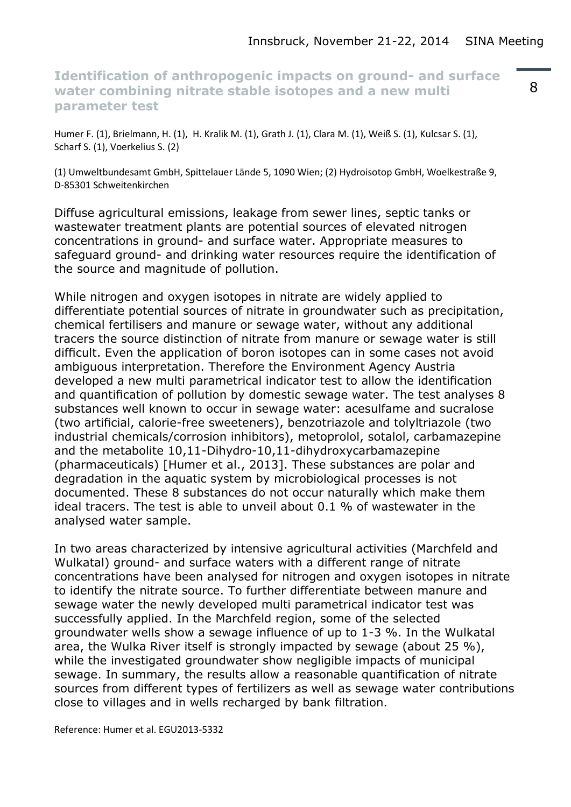#### **Identification of anthropogenic impacts on ground- and surface water combining nitrate stable isotopes and a new multi parameter test**

Humer F. (1), Brielmann, H. (1), H. Kralik M. (1), Grath J. (1), Clara M. (1), Weiß S. (1), Kulcsar S. (1), Scharf S. (1), Voerkelius S. (2)

(1) Umweltbundesamt GmbH, Spittelauer Lände 5, 1090 Wien; (2) Hydroisotop GmbH, Woelkestraße 9, D-85301 Schweitenkirchen

Diffuse agricultural emissions, leakage from sewer lines, septic tanks or wastewater treatment plants are potential sources of elevated nitrogen concentrations in ground- and surface water. Appropriate measures to safeguard ground- and drinking water resources require the identification of the source and magnitude of pollution.

While nitrogen and oxygen isotopes in nitrate are widely applied to differentiate potential sources of nitrate in groundwater such as precipitation, chemical fertilisers and manure or sewage water, without any additional tracers the source distinction of nitrate from manure or sewage water is still difficult. Even the application of boron isotopes can in some cases not avoid ambiguous interpretation. Therefore the Environment Agency Austria developed a new multi parametrical indicator test to allow the identification and quantification of pollution by domestic sewage water. The test analyses 8 substances well known to occur in sewage water: acesulfame and sucralose (two artificial, calorie-free sweeteners), benzotriazole and tolyltriazole (two industrial chemicals/corrosion inhibitors), metoprolol, sotalol, carbamazepine and the metabolite 10,11-Dihydro-10,11-dihydroxycarbamazepine (pharmaceuticals) [Humer et al., 2013]. These substances are polar and degradation in the aquatic system by microbiological processes is not documented. These 8 substances do not occur naturally which make them ideal tracers. The test is able to unveil about 0.1 % of wastewater in the analysed water sample.

In two areas characterized by intensive agricultural activities (Marchfeld and Wulkatal) ground- and surface waters with a different range of nitrate concentrations have been analysed for nitrogen and oxygen isotopes in nitrate to identify the nitrate source. To further differentiate between manure and sewage water the newly developed multi parametrical indicator test was successfully applied. In the Marchfeld region, some of the selected groundwater wells show a sewage influence of up to 1-3 %. In the Wulkatal area, the Wulka River itself is strongly impacted by sewage (about 25 %), while the investigated groundwater show negligible impacts of municipal sewage. In summary, the results allow a reasonable quantification of nitrate sources from different types of fertilizers as well as sewage water contributions close to villages and in wells recharged by bank filtration.

Reference: Humer et al. EGU2013-5332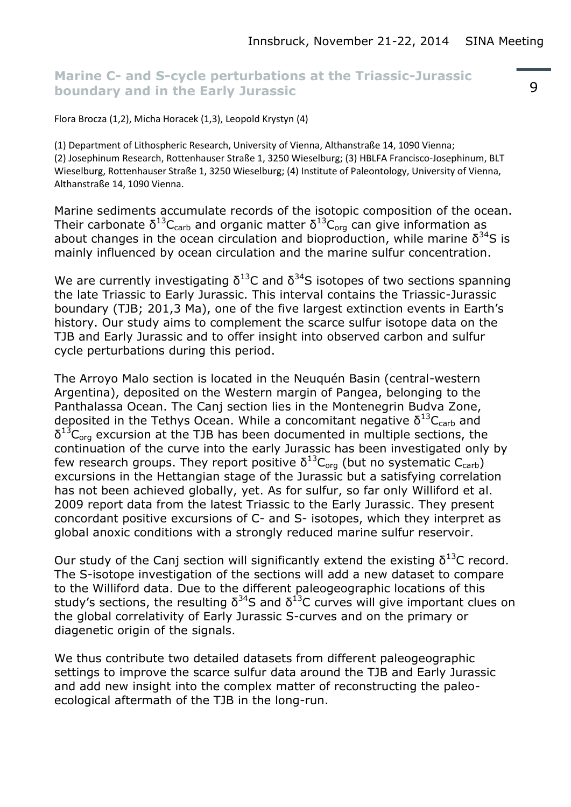### **Marine C- and S-cycle perturbations at the Triassic-Jurassic boundary and in the Early Jurassic**

#### Flora Brocza (1,2), Micha Horacek (1,3), Leopold Krystyn (4)

(1) Department of Lithospheric Research, University of Vienna, Althanstraße 14, 1090 Vienna; (2) Josephinum Research, Rottenhauser Straße 1, 3250 Wieselburg; (3) HBLFA Francisco-Josephinum, BLT Wieselburg, Rottenhauser Straße 1, 3250 Wieselburg; (4) Institute of Paleontology, University of Vienna, Althanstraße 14, 1090 Vienna.

Marine sediments accumulate records of the isotopic composition of the ocean. Their carbonate  $\delta^{13}C_{\text{carb}}$  and organic matter  $\delta^{13}C_{\text{org}}$  can give information as about changes in the ocean circulation and bioproduction, while marine  $\delta^{34}S$  is mainly influenced by ocean circulation and the marine sulfur concentration.

We are currently investigating  $\delta^{13}$ C and  $\delta^{34}$ S isotopes of two sections spanning the late Triassic to Early Jurassic. This interval contains the Triassic-Jurassic boundary (TJB; 201,3 Ma), one of the five largest extinction events in Earth's history. Our study aims to complement the scarce sulfur isotope data on the TJB and Early Jurassic and to offer insight into observed carbon and sulfur cycle perturbations during this period.

The Arroyo Malo section is located in the Neuquén Basin (central-western Argentina), deposited on the Western margin of Pangea, belonging to the Panthalassa Ocean. The Canj section lies in the Montenegrin Budva Zone, deposited in the Tethys Ocean. While a concomitant negative  $\delta^{13}C_{\text{carb}}$  and  $\delta^{13}C_{org}$  excursion at the TJB has been documented in multiple sections, the continuation of the curve into the early Jurassic has been investigated only by few research groups. They report positive  $\delta^{13}C_{\text{org}}$  (but no systematic  $C_{\text{carb}}$ ) excursions in the Hettangian stage of the Jurassic but a satisfying correlation has not been achieved globally, yet. As for sulfur, so far only Williford et al. 2009 report data from the latest Triassic to the Early Jurassic. They present concordant positive excursions of C- and S- isotopes, which they interpret as global anoxic conditions with a strongly reduced marine sulfur reservoir.

Our study of the Canj section will significantly extend the existing  $\delta^{13}$ C record. The S-isotope investigation of the sections will add a new dataset to compare to the Williford data. Due to the different paleogeographic locations of this study's sections, the resulting  $\delta^{34}$ S and  $\delta^{13}$ C curves will give important clues on the global correlativity of Early Jurassic S-curves and on the primary or diagenetic origin of the signals.

We thus contribute two detailed datasets from different paleogeographic settings to improve the scarce sulfur data around the TJB and Early Jurassic and add new insight into the complex matter of reconstructing the paleoecological aftermath of the TJB in the long-run.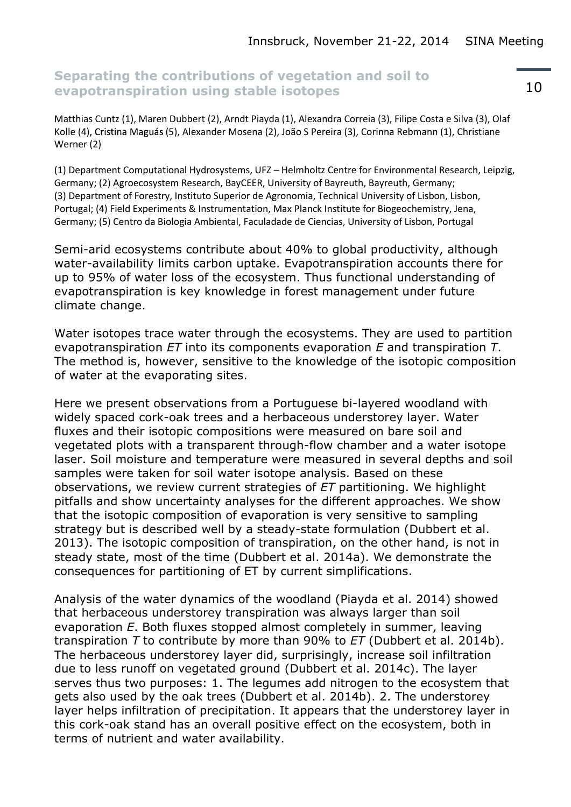### **Separating the contributions of vegetation and soil to evapotranspiration using stable isotopes**

Matthias Cuntz (1), Maren Dubbert (2), Arndt Piayda (1), Alexandra Correia (3), Filipe Costa e Silva (3), Olaf Kolle (4), Cristina Maguás (5), Alexander Mosena (2), João S Pereira (3), Corinna Rebmann (1), Christiane Werner (2)

(1) Department Computational Hydrosystems, UFZ – Helmholtz Centre for Environmental Research, Leipzig, Germany; (2) Agroecosystem Research, BayCEER, University of Bayreuth, Bayreuth, Germany; (3) Department of Forestry, Instituto Superior de Agronomia, Technical University of Lisbon, Lisbon, Portugal; (4) Field Experiments & Instrumentation, Max Planck Institute for Biogeochemistry, Jena, Germany; (5) Centro da Biologia Ambiental, Faculadade de Ciencias, University of Lisbon, Portugal

Semi-arid ecosystems contribute about 40% to global productivity, although water-availability limits carbon uptake. Evapotranspiration accounts there for up to 95% of water loss of the ecosystem. Thus functional understanding of evapotranspiration is key knowledge in forest management under future climate change.

Water isotopes trace water through the ecosystems. They are used to partition evapotranspiration *ET* into its components evaporation *E* and transpiration *T*. The method is, however, sensitive to the knowledge of the isotopic composition of water at the evaporating sites.

Here we present observations from a Portuguese bi-layered woodland with widely spaced cork-oak trees and a herbaceous understorey layer. Water fluxes and their isotopic compositions were measured on bare soil and vegetated plots with a transparent through-flow chamber and a water isotope laser. Soil moisture and temperature were measured in several depths and soil samples were taken for soil water isotope analysis. Based on these observations, we review current strategies of *ET* partitioning. We highlight pitfalls and show uncertainty analyses for the different approaches. We show that the isotopic composition of evaporation is very sensitive to sampling strategy but is described well by a steady-state formulation (Dubbert et al. 2013). The isotopic composition of transpiration, on the other hand, is not in steady state, most of the time (Dubbert et al. 2014a). We demonstrate the consequences for partitioning of ET by current simplifications.

Analysis of the water dynamics of the woodland (Piayda et al. 2014) showed that herbaceous understorey transpiration was always larger than soil evaporation *E*. Both fluxes stopped almost completely in summer, leaving transpiration *T* to contribute by more than 90% to *ET* (Dubbert et al. 2014b). The herbaceous understorey layer did, surprisingly, increase soil infiltration due to less runoff on vegetated ground (Dubbert et al. 2014c). The layer serves thus two purposes: 1. The legumes add nitrogen to the ecosystem that gets also used by the oak trees (Dubbert et al. 2014b). 2. The understorey layer helps infiltration of precipitation. It appears that the understorey layer in this cork-oak stand has an overall positive effect on the ecosystem, both in terms of nutrient and water availability.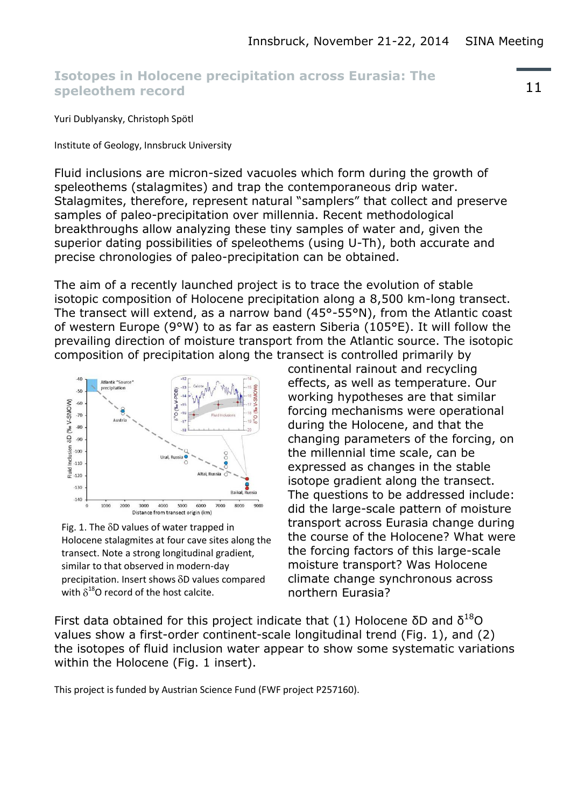#### **Isotopes in Holocene precipitation across Eurasia: The speleothem record**

Yuri Dublyansky, Christoph Spötl

#### Institute of Geology, Innsbruck University

Fluid inclusions are micron-sized vacuoles which form during the growth of speleothems (stalagmites) and trap the contemporaneous drip water. Stalagmites, therefore, represent natural "samplers" that collect and preserve samples of paleo-precipitation over millennia. Recent methodological breakthroughs allow analyzing these tiny samples of water and, given the superior dating possibilities of speleothems (using U-Th), both accurate and precise chronologies of paleo-precipitation can be obtained.

The aim of a recently launched project is to trace the evolution of stable isotopic composition of Holocene precipitation along a 8,500 km-long transect. The transect will extend, as a narrow band (45°-55°N), from the Atlantic coast of western Europe (9°W) to as far as eastern Siberia (105°E). It will follow the prevailing direction of moisture transport from the Atlantic source. The isotopic composition of precipitation along the transect is controlled primarily by



Fig. 1. The  $\delta$ D values of water trapped in Holocene stalagmites at four cave sites along the transect. Note a strong longitudinal gradient, similar to that observed in modern-day precipitation. Insert shows  $\delta$ D values compared with  $\delta^{18}$ O record of the host calcite.

continental rainout and recycling effects, as well as temperature. Our working hypotheses are that similar forcing mechanisms were operational during the Holocene, and that the changing parameters of the forcing, on the millennial time scale, can be expressed as changes in the stable isotope gradient along the transect. The questions to be addressed include: did the large-scale pattern of moisture transport across Eurasia change during the course of the Holocene? What were the forcing factors of this large-scale moisture transport? Was Holocene climate change synchronous across northern Eurasia?

First data obtained for this project indicate that (1) Holocene δD and  $\delta^{18}O$ values show a first-order continent-scale longitudinal trend (Fig. 1), and (2) the isotopes of fluid inclusion water appear to show some systematic variations within the Holocene (Fig. 1 insert).

This project is funded by Austrian Science Fund (FWF project P257160).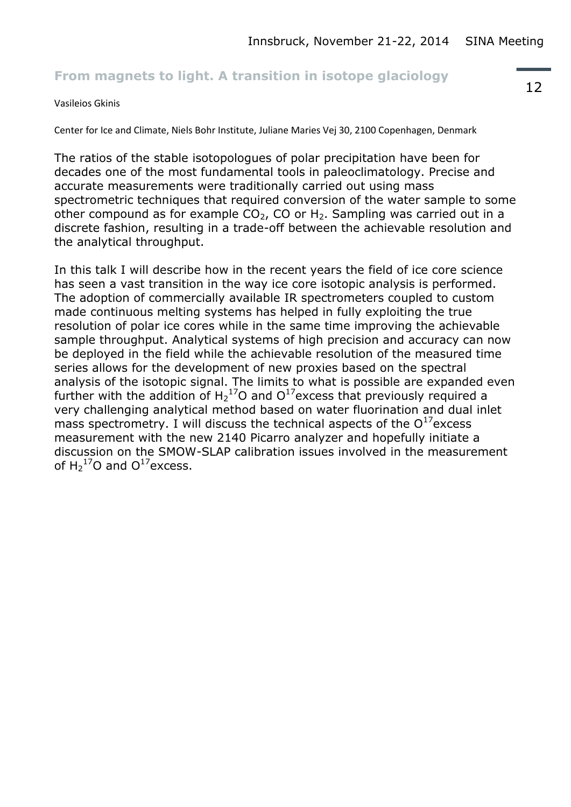## **From magnets to light. A transition in isotope glaciology**

#### Vasileios Gkinis

Center for Ice and Climate, Niels Bohr Institute, Juliane Maries Vej 30, 2100 Copenhagen, Denmark

The ratios of the stable isotopologues of polar precipitation have been for decades one of the most fundamental tools in paleoclimatology. Precise and accurate measurements were traditionally carried out using mass spectrometric techniques that required conversion of the water sample to some other compound as for example  $CO<sub>2</sub>$ , CO or H<sub>2</sub>. Sampling was carried out in a discrete fashion, resulting in a trade-off between the achievable resolution and the analytical throughput.

In this talk I will describe how in the recent years the field of ice core science has seen a vast transition in the way ice core isotopic analysis is performed. The adoption of commercially available IR spectrometers coupled to custom made continuous melting systems has helped in fully exploiting the true resolution of polar ice cores while in the same time improving the achievable sample throughput. Analytical systems of high precision and accuracy can now be deployed in the field while the achievable resolution of the measured time series allows for the development of new proxies based on the spectral analysis of the isotopic signal. The limits to what is possible are expanded even further with the addition of  $H_2$ <sup>17</sup>O and O<sup>17</sup> excess that previously required a very challenging analytical method based on water fluorination and dual inlet mass spectrometry. I will discuss the technical aspects of the  $O^{17}$  excess measurement with the new 2140 Picarro analyzer and hopefully initiate a discussion on the SMOW-SLAP calibration issues involved in the measurement of  $H_2$ <sup>17</sup>O and  $O$ <sup>17</sup> excess.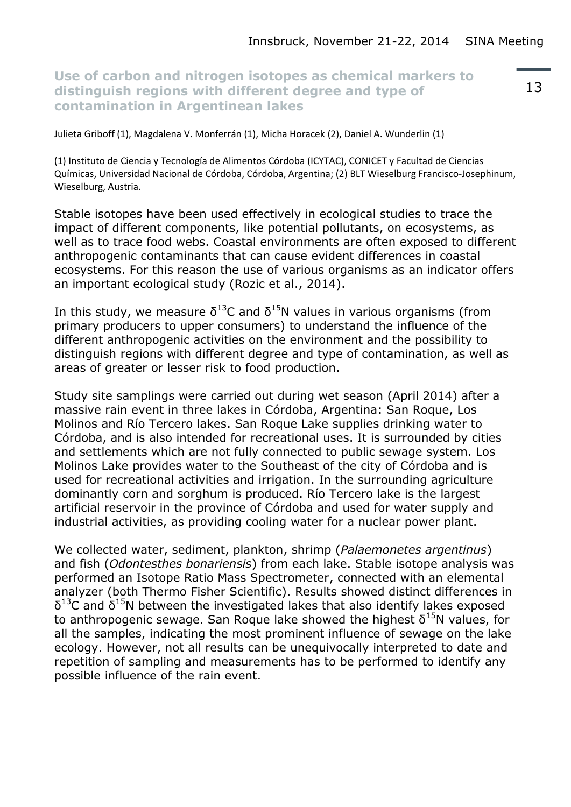**Use of carbon and nitrogen isotopes as chemical markers to distinguish regions with different degree and type of contamination in Argentinean lakes**

Julieta Griboff (1), Magdalena V. Monferrán (1), Micha Horacek (2), Daniel A. Wunderlin (1)

(1) Instituto de Ciencia y Tecnología de Alimentos Córdoba (ICYTAC), CONICET y Facultad de Ciencias Químicas, Universidad Nacional de Córdoba, Córdoba, Argentina; (2) BLT Wieselburg Francisco-Josephinum, Wieselburg, Austria.

Stable isotopes have been used effectively in ecological studies to trace the impact of different components, like potential pollutants, on ecosystems, as well as to trace food webs. Coastal environments are often exposed to different anthropogenic contaminants that can cause evident differences in coastal ecosystems. For this reason the use of various organisms as an indicator offers an important ecological study (Rozic et al., 2014).

In this study, we measure  $\delta^{13}$ C and  $\delta^{15}$ N values in various organisms (from primary producers to upper consumers) to understand the influence of the different anthropogenic activities on the environment and the possibility to distinguish regions with different degree and type of contamination, as well as areas of greater or lesser risk to food production.

Study site samplings were carried out during wet season (April 2014) after a massive rain event in three lakes in Córdoba, Argentina: San Roque, Los Molinos and Río Tercero lakes. San Roque Lake supplies drinking water to Córdoba, and is also intended for recreational uses. It is surrounded by cities and settlements which are not fully connected to public sewage system. Los Molinos Lake provides water to the Southeast of the city of Córdoba and is used for recreational activities and irrigation. In the surrounding agriculture dominantly corn and sorghum is produced. Río Tercero lake is the largest artificial reservoir in the province of Córdoba and used for water supply and industrial activities, as providing cooling water for a nuclear power plant.

We collected water, sediment, plankton, shrimp (*Palaemonetes argentinus*) and fish (*Odontesthes bonariensis*) from each lake. Stable isotope analysis was performed an Isotope Ratio Mass Spectrometer, connected with an elemental analyzer (both Thermo Fisher Scientific). Results showed distinct differences in  $\delta^{13}$ C and  $\delta^{15}$ N between the investigated lakes that also identify lakes exposed to anthropogenic sewage. San Roque lake showed the highest  $\delta^{15}N$  values, for all the samples, indicating the most prominent influence of sewage on the lake ecology. However, not all results can be unequivocally interpreted to date and repetition of sampling and measurements has to be performed to identify any possible influence of the rain event.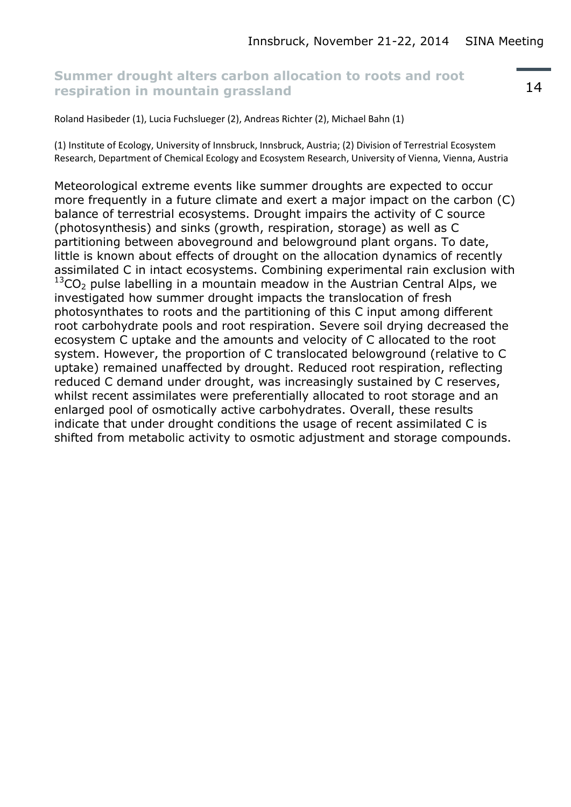## **Summer drought alters carbon allocation to roots and root respiration in mountain grassland**

Roland Hasibeder (1), Lucia Fuchslueger (2), Andreas Richter (2), Michael Bahn (1)

(1) Institute of Ecology, University of Innsbruck, Innsbruck, Austria; (2) Division of Terrestrial Ecosystem Research, Department of Chemical Ecology and Ecosystem Research, University of Vienna, Vienna, Austria

Meteorological extreme events like summer droughts are expected to occur more frequently in a future climate and exert a major impact on the carbon (C) balance of terrestrial ecosystems. Drought impairs the activity of C source (photosynthesis) and sinks (growth, respiration, storage) as well as C partitioning between aboveground and belowground plant organs. To date, little is known about effects of drought on the allocation dynamics of recently assimilated C in intact ecosystems. Combining experimental rain exclusion with  $13$ CO<sub>2</sub> pulse labelling in a mountain meadow in the Austrian Central Alps, we investigated how summer drought impacts the translocation of fresh photosynthates to roots and the partitioning of this C input among different root carbohydrate pools and root respiration. Severe soil drying decreased the ecosystem C uptake and the amounts and velocity of C allocated to the root system. However, the proportion of C translocated belowground (relative to C uptake) remained unaffected by drought. Reduced root respiration, reflecting reduced C demand under drought, was increasingly sustained by C reserves, whilst recent assimilates were preferentially allocated to root storage and an enlarged pool of osmotically active carbohydrates. Overall, these results indicate that under drought conditions the usage of recent assimilated C is shifted from metabolic activity to osmotic adjustment and storage compounds.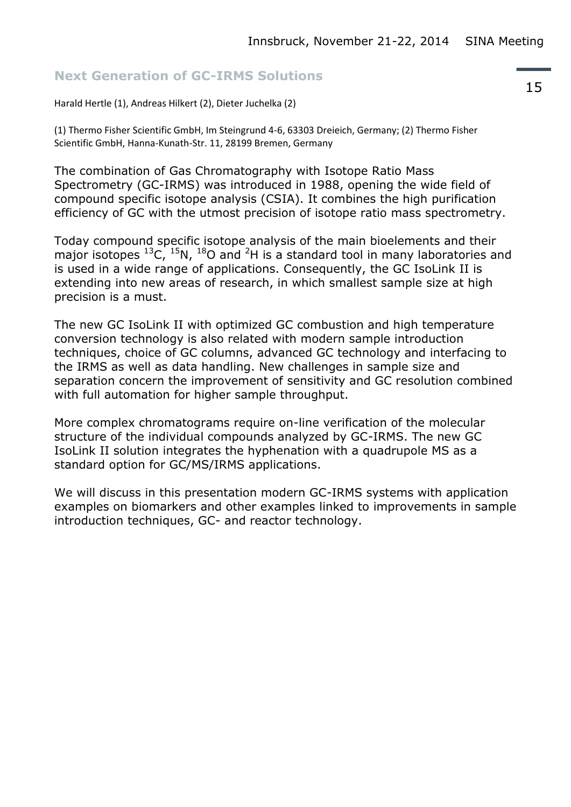#### **Next Generation of GC-IRMS Solutions**

Harald Hertle (1), Andreas Hilkert (2), Dieter Juchelka (2)

(1) Thermo Fisher Scientific GmbH, Im Steingrund 4-6, 63303 Dreieich, Germany; (2) Thermo Fisher Scientific GmbH, Hanna-Kunath-Str. 11, 28199 Bremen, Germany

The combination of Gas Chromatography with Isotope Ratio Mass Spectrometry (GC-IRMS) was introduced in 1988, opening the wide field of compound specific isotope analysis (CSIA). It combines the high purification efficiency of GC with the utmost precision of isotope ratio mass spectrometry.

Today compound specific isotope analysis of the main bioelements and their major isotopes  $^{13}$ C,  $^{15}$ N,  $^{18}$ O and <sup>2</sup>H is a standard tool in many laboratories and is used in a wide range of applications. Consequently, the GC IsoLink II is extending into new areas of research, in which smallest sample size at high precision is a must.

The new GC IsoLink II with optimized GC combustion and high temperature conversion technology is also related with modern sample introduction techniques, choice of GC columns, advanced GC technology and interfacing to the IRMS as well as data handling. New challenges in sample size and separation concern the improvement of sensitivity and GC resolution combined with full automation for higher sample throughput.

More complex chromatograms require on-line verification of the molecular structure of the individual compounds analyzed by GC-IRMS. The new GC IsoLink II solution integrates the hyphenation with a quadrupole MS as a standard option for GC/MS/IRMS applications.

We will discuss in this presentation modern GC-IRMS systems with application examples on biomarkers and other examples linked to improvements in sample introduction techniques, GC- and reactor technology.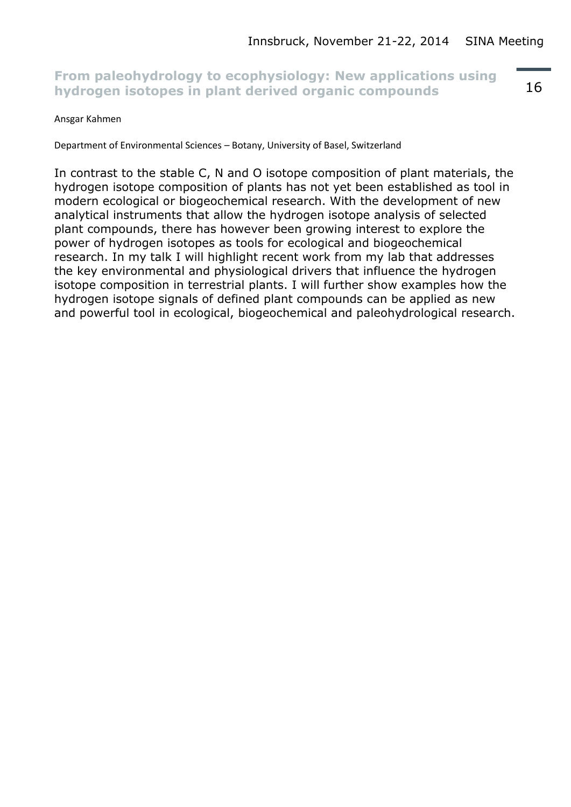16

#### **From paleohydrology to ecophysiology: New applications using hydrogen isotopes in plant derived organic compounds**

#### Ansgar Kahmen

Department of Environmental Sciences – Botany, University of Basel, Switzerland

In contrast to the stable C, N and O isotope composition of plant materials, the hydrogen isotope composition of plants has not yet been established as tool in modern ecological or biogeochemical research. With the development of new analytical instruments that allow the hydrogen isotope analysis of selected plant compounds, there has however been growing interest to explore the power of hydrogen isotopes as tools for ecological and biogeochemical research. In my talk I will highlight recent work from my lab that addresses the key environmental and physiological drivers that influence the hydrogen isotope composition in terrestrial plants. I will further show examples how the hydrogen isotope signals of defined plant compounds can be applied as new and powerful tool in ecological, biogeochemical and paleohydrological research.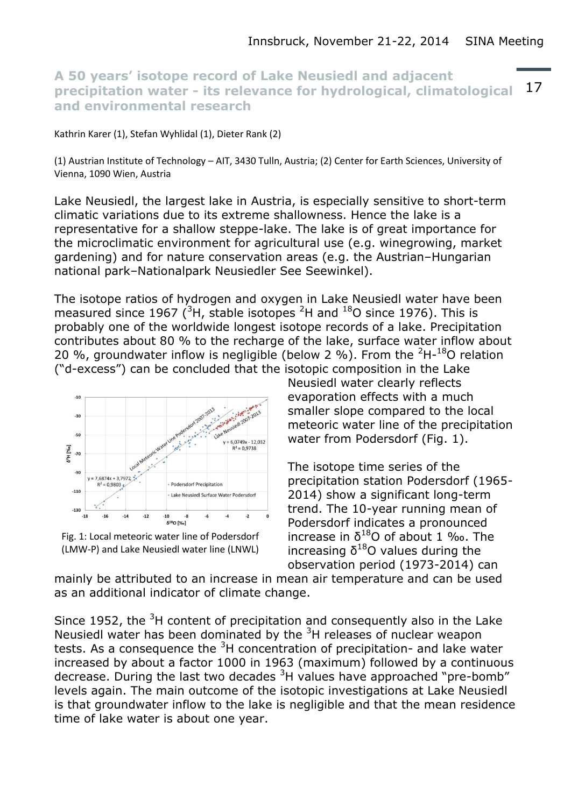17 **A 50 years' isotope record of Lake Neusiedl and adjacent precipitation water - its relevance for hydrological, climatological and environmental research**

Kathrin Karer (1), Stefan Wyhlidal (1), Dieter Rank (2)

(1) Austrian Institute of Technology – AIT, 3430 Tulln, Austria; (2) Center for Earth Sciences, University of Vienna, 1090 Wien, Austria

Lake Neusiedl, the largest lake in Austria, is especially sensitive to short-term climatic variations due to its extreme shallowness. Hence the lake is a representative for a shallow steppe-lake. The lake is of great importance for the microclimatic environment for agricultural use (e.g. winegrowing, market gardening) and for nature conservation areas (e.g. the Austrian–Hungarian national park–Nationalpark Neusiedler See Seewinkel).

The isotope ratios of hydrogen and oxygen in Lake Neusiedl water have been measured since 1967 ( $3H$ , stable isotopes  $2H$  and  $18O$  since 1976). This is probably one of the worldwide longest isotope records of a lake. Precipitation contributes about 80 % to the recharge of the lake, surface water inflow about 20 %, groundwater inflow is negligible (below 2 %). From the  $2H-18O$  relation ("d-excess") can be concluded that the isotopic composition in the Lake



Fig. 1: Local meteoric water line of Podersdorf (LMW-P) and Lake Neusiedl water line (LNWL)

Neusiedl water clearly reflects evaporation effects with a much smaller slope compared to the local meteoric water line of the precipitation water from Podersdorf (Fig. 1).

The isotope time series of the precipitation station Podersdorf (1965- 2014) show a significant long-term trend. The 10-year running mean of Podersdorf indicates a pronounced increase in  $\delta^{18}$ O of about 1 ‰. The increasing  $δ^{18}$ O values during the observation period (1973-2014) can

mainly be attributed to an increase in mean air temperature and can be used as an additional indicator of climate change.

Since 1952, the  $3H$  content of precipitation and consequently also in the Lake Neusiedl water has been dominated by the  $3H$  releases of nuclear weapon tests. As a consequence the  $3H$  concentration of precipitation- and lake water increased by about a factor 1000 in 1963 (maximum) followed by a continuous decrease. During the last two decades  $3H$  values have approached "pre-bomb" levels again. The main outcome of the isotopic investigations at Lake Neusiedl is that groundwater inflow to the lake is negligible and that the mean residence time of lake water is about one year.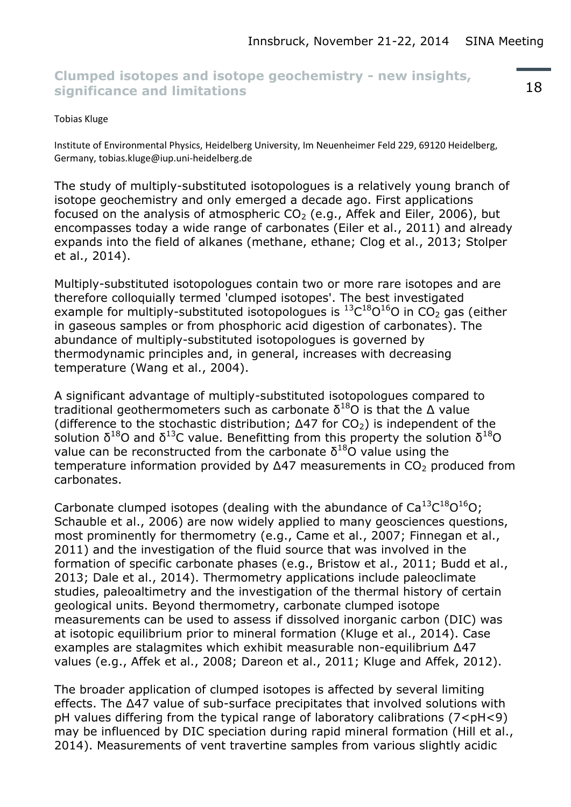## **Clumped isotopes and isotope geochemistry - new insights, significance and limitations**

#### Tobias Kluge

Institute of Environmental Physics, Heidelberg University, Im Neuenheimer Feld 229, 69120 Heidelberg, Germany, tobias.kluge@iup.uni-heidelberg.de

The study of multiply-substituted isotopologues is a relatively young branch of isotope geochemistry and only emerged a decade ago. First applications focused on the analysis of atmospheric  $CO<sub>2</sub>$  (e.g., Affek and Eiler, 2006), but encompasses today a wide range of carbonates (Eiler et al., 2011) and already expands into the field of alkanes (methane, ethane; Clog et al., 2013; Stolper et al., 2014).

Multiply-substituted isotopologues contain two or more rare isotopes and are therefore colloquially termed 'clumped isotopes'. The best investigated example for multiply-substituted isotopologues is  ${}^{13}C^{18}O^{16}O$  in CO<sub>2</sub> gas (either in gaseous samples or from phosphoric acid digestion of carbonates). The abundance of multiply-substituted isotopologues is governed by thermodynamic principles and, in general, increases with decreasing temperature (Wang et al., 2004).

A significant advantage of multiply-substituted isotopologues compared to traditional geothermometers such as carbonate  $\delta^{18}$ O is that the Δ value (difference to the stochastic distribution;  $\Delta$ 47 for CO<sub>2</sub>) is independent of the solution  $\delta^{18}$ O and  $\delta^{13}$ C value. Benefitting from this property the solution  $\delta^{18}$ O value can be reconstructed from the carbonate  $\delta^{18}$ O value using the temperature information provided by  $Δ47$  measurements in  $CO<sub>2</sub>$  produced from carbonates.

Carbonate clumped isotopes (dealing with the abundance of  $Ca^{13}C^{18}O^{16}O$ ; Schauble et al., 2006) are now widely applied to many geosciences questions, most prominently for thermometry (e.g., Came et al., 2007; Finnegan et al., 2011) and the investigation of the fluid source that was involved in the formation of specific carbonate phases (e.g., Bristow et al., 2011; Budd et al., 2013; Dale et al., 2014). Thermometry applications include paleoclimate studies, paleoaltimetry and the investigation of the thermal history of certain geological units. Beyond thermometry, carbonate clumped isotope measurements can be used to assess if dissolved inorganic carbon (DIC) was at isotopic equilibrium prior to mineral formation (Kluge et al., 2014). Case examples are stalagmites which exhibit measurable non-equilibrium ∆47 values (e.g., Affek et al., 2008; Dareon et al., 2011; Kluge and Affek, 2012).

The broader application of clumped isotopes is affected by several limiting effects. The ∆47 value of sub-surface precipitates that involved solutions with pH values differing from the typical range of laboratory calibrations (7<pH<9) may be influenced by DIC speciation during rapid mineral formation (Hill et al., 2014). Measurements of vent travertine samples from various slightly acidic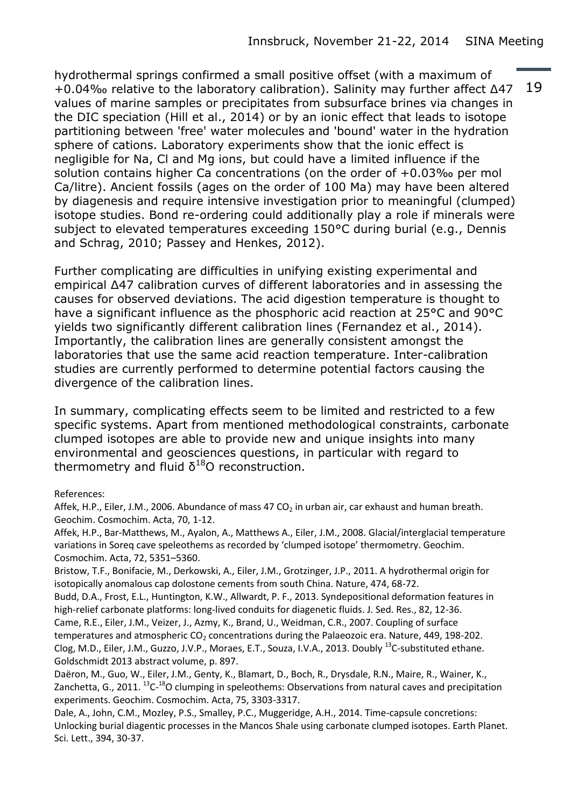+0.04‰ relative to the laboratory calibration). Salinity may further affect ∆47 19 hydrothermal springs confirmed a small positive offset (with a maximum of values of marine samples or precipitates from subsurface brines via changes in the DIC speciation (Hill et al., 2014) or by an ionic effect that leads to isotope partitioning between 'free' water molecules and 'bound' water in the hydration sphere of cations. Laboratory experiments show that the ionic effect is negligible for Na, Cl and Mg ions, but could have a limited influence if the solution contains higher Ca concentrations (on the order of +0.03‰ per mol Ca/litre). Ancient fossils (ages on the order of 100 Ma) may have been altered by diagenesis and require intensive investigation prior to meaningful (clumped) isotope studies. Bond re-ordering could additionally play a role if minerals were subject to elevated temperatures exceeding 150°C during burial (e.g., Dennis and Schrag, 2010; Passey and Henkes, 2012).

Further complicating are difficulties in unifying existing experimental and empirical ∆47 calibration curves of different laboratories and in assessing the causes for observed deviations. The acid digestion temperature is thought to have a significant influence as the phosphoric acid reaction at 25°C and 90°C yields two significantly different calibration lines (Fernandez et al., 2014). Importantly, the calibration lines are generally consistent amongst the laboratories that use the same acid reaction temperature. Inter-calibration studies are currently performed to determine potential factors causing the divergence of the calibration lines.

In summary, complicating effects seem to be limited and restricted to a few specific systems. Apart from mentioned methodological constraints, carbonate clumped isotopes are able to provide new and unique insights into many environmental and geosciences questions, in particular with regard to thermometry and fluid  $δ^{18}$ O reconstruction.

References:

Affek, H.P., Eiler, J.M., 2006. Abundance of mass 47  $CO<sub>2</sub>$  in urban air, car exhaust and human breath. Geochim. Cosmochim. Acta, 70, 1-12.

Affek, H.P., Bar-Matthews, M., Ayalon, A., Matthews A., Eiler, J.M., 2008. Glacial/interglacial temperature variations in Soreq cave speleothems as recorded by 'clumped isotope' thermometry. Geochim. Cosmochim. Acta, 72, 5351–5360.

Bristow, T.F., Bonifacie, M., Derkowski, A., Eiler, J.M., Grotzinger, J.P., 2011. A hydrothermal origin for isotopically anomalous cap dolostone cements from south China. Nature, 474, 68-72.

Budd, D.A., Frost, E.L., Huntington, K.W., Allwardt, P. F., 2013. Syndepositional deformation features in high-relief carbonate platforms: long-lived conduits for diagenetic fluids. J. Sed. Res., 82, 12-36.

Came, R.E., Eiler, J.M., Veizer, J., Azmy, K., Brand, U., Weidman, C.R., 2007. Coupling of surface temperatures and atmospheric CO<sub>2</sub> concentrations during the Palaeozoic era. Nature, 449, 198-202. Clog, M.D., Eiler, J.M., Guzzo, J.V.P., Moraes, E.T., Souza, I.V.A., 2013. Doubly <sup>13</sup>C-substituted ethane. Goldschmidt 2013 abstract volume, p. 897.

Daëron, M., Guo, W., Eiler, J.M., Genty, K., Blamart, D., Boch, R., Drysdale, R.N., Maire, R., Wainer, K., Zanchetta, G., 2011. <sup>13</sup>C-<sup>18</sup>O clumping in speleothems: Observations from natural caves and precipitation experiments. Geochim. Cosmochim. Acta, 75, 3303-3317.

Dale, A., John, C.M., Mozley, P.S., Smalley, P.C., Muggeridge, A.H., 2014. Time-capsule concretions: Unlocking burial diagentic processes in the Mancos Shale using carbonate clumped isotopes. Earth Planet. Sci. Lett., 394, 30-37.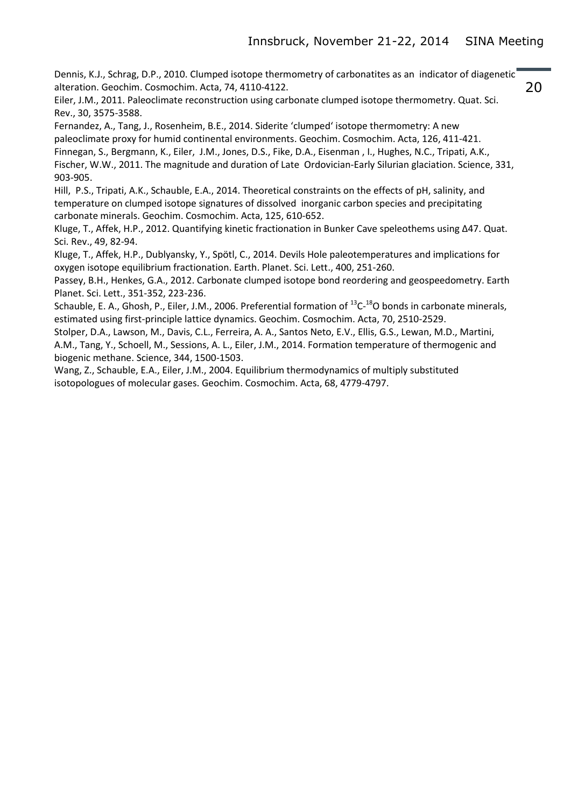Dennis, K.J., Schrag, D.P., 2010. Clumped isotope thermometry of carbonatites as an indicator of diagenetic alteration. Geochim. Cosmochim. Acta, 74, 4110-4122.

Eiler, J.M., 2011. Paleoclimate reconstruction using carbonate clumped isotope thermometry. Quat. Sci. Rev., 30, 3575-3588.

Fernandez, A., Tang, J., Rosenheim, B.E., 2014. Siderite 'clumped' isotope thermometry: A new paleoclimate proxy for humid continental environments. Geochim. Cosmochim. Acta, 126, 411-421. Finnegan, S., Bergmann, K., Eiler, J.M., Jones, D.S., Fike, D.A., Eisenman , I., Hughes, N.C., Tripati, A.K.,

Fischer, W.W., 2011. The magnitude and duration of Late Ordovician-Early Silurian glaciation. Science, 331, 903-905.

Hill, P.S., Tripati, A.K., Schauble, E.A., 2014. Theoretical constraints on the effects of pH, salinity, and temperature on clumped isotope signatures of dissolved inorganic carbon species and precipitating carbonate minerals. Geochim. Cosmochim. Acta, 125, 610-652.

Kluge, T., Affek, H.P., 2012. Quantifying kinetic fractionation in Bunker Cave speleothems using Δ47. Quat. Sci. Rev., 49, 82-94.

Kluge, T., Affek, H.P., Dublyansky, Y., Spötl, C., 2014. Devils Hole paleotemperatures and implications for oxygen isotope equilibrium fractionation. Earth. Planet. Sci. Lett., 400, 251-260.

Passey, B.H., Henkes, G.A., 2012. Carbonate clumped isotope bond reordering and geospeedometry. Earth Planet. Sci. Lett., 351-352, 223-236.

Schauble, E. A., Ghosh, P., Eiler, J.M., 2006. Preferential formation of  $^{13}$ C- $^{18}$ O bonds in carbonate minerals, estimated using first-principle lattice dynamics. Geochim. Cosmochim. Acta, 70, 2510-2529.

Stolper, D.A., Lawson, M., Davis, C.L., Ferreira, A. A., Santos Neto, E.V., Ellis, G.S., Lewan, M.D., Martini, A.M., Tang, Y., Schoell, M., Sessions, A. L., Eiler, J.M., 2014. Formation temperature of thermogenic and biogenic methane. Science, 344, 1500-1503.

Wang, Z., Schauble, E.A., Eiler, J.M., 2004. Equilibrium thermodynamics of multiply substituted isotopologues of molecular gases. Geochim. Cosmochim. Acta, 68, 4779-4797.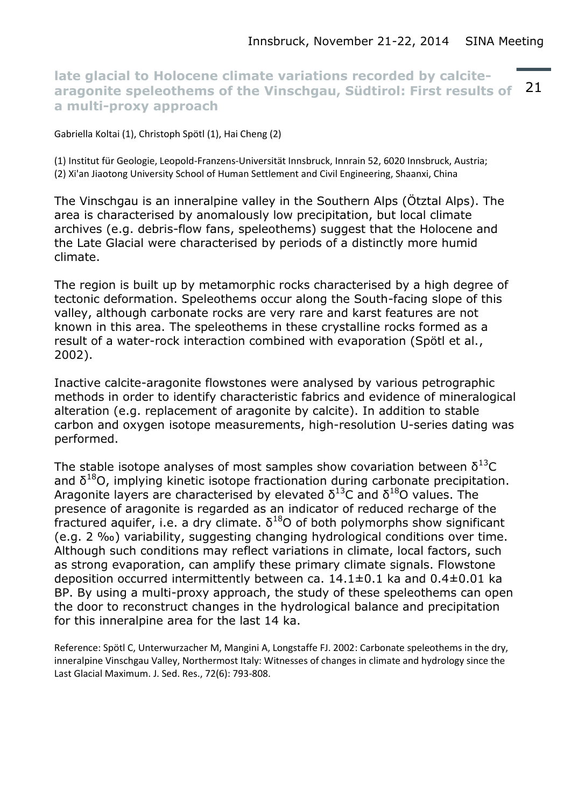21 **late glacial to Holocene climate variations recorded by calcitearagonite speleothems of the Vinschgau, Südtirol: First results of a multi-proxy approach**

Gabriella Koltai (1), Christoph Spötl (1), Hai Cheng (2)

(1) Institut für Geologie, Leopold-Franzens-Universität Innsbruck, Innrain 52, 6020 Innsbruck, Austria; (2) Xi'an Jiaotong University School of Human Settlement and Civil Engineering, Shaanxi, China

The Vinschgau is an inneralpine valley in the Southern Alps (Ötztal Alps). The area is characterised by anomalously low precipitation, but local climate archives (e.g. debris-flow fans, speleothems) suggest that the Holocene and the Late Glacial were characterised by periods of a distinctly more humid climate.

The region is built up by metamorphic rocks characterised by a high degree of tectonic deformation. Speleothems occur along the South-facing slope of this valley, although carbonate rocks are very rare and karst features are not known in this area. The speleothems in these crystalline rocks formed as a result of a water-rock interaction combined with evaporation (Spötl et al., 2002).

Inactive calcite-aragonite flowstones were analysed by various petrographic methods in order to identify characteristic fabrics and evidence of mineralogical alteration (e.g. replacement of aragonite by calcite). In addition to stable carbon and oxygen isotope measurements, high-resolution U-series dating was performed.

The stable isotope analyses of most samples show covariation between  $\delta^{13}C$ and  $\delta^{18}$ O, implying kinetic isotope fractionation during carbonate precipitation. Aragonite layers are characterised by elevated  $\delta^{13}$ C and  $\delta^{18}$ O values. The presence of aragonite is regarded as an indicator of reduced recharge of the fractured aquifer, i.e. a dry climate.  $\delta^{18}$ O of both polymorphs show significant (e.g. 2 ‰) variability, suggesting changing hydrological conditions over time. Although such conditions may reflect variations in climate, local factors, such as strong evaporation, can amplify these primary climate signals. Flowstone deposition occurred intermittently between ca. 14.1±0.1 ka and 0.4±0.01 ka BP. By using a multi-proxy approach, the study of these speleothems can open the door to reconstruct changes in the hydrological balance and precipitation for this inneralpine area for the last 14 ka.

Reference: Spötl C, Unterwurzacher M, Mangini A, Longstaffe FJ. 2002: Carbonate speleothems in the dry, inneralpine Vinschgau Valley, Northermost Italy: Witnesses of changes in climate and hydrology since the Last Glacial Maximum. J. Sed. Res., 72(6): 793-808.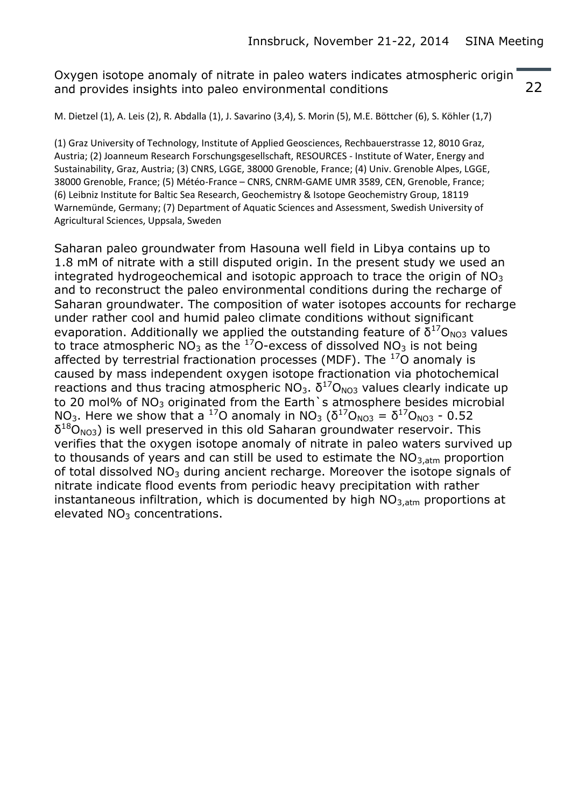#### Oxygen isotope anomaly of nitrate in paleo waters indicates atmospheric origin and provides insights into paleo environmental conditions

M. Dietzel (1), A. Leis (2), R. Abdalla (1), J. Savarino (3,4), S. Morin (5), M.E. Böttcher (6), S. Köhler (1,7)

(1) Graz University of Technology, Institute of Applied Geosciences, Rechbauerstrasse 12, 8010 Graz, Austria; (2) Joanneum Research Forschungsgesellschaft, RESOURCES - Institute of Water, Energy and Sustainability, Graz, Austria; (3) CNRS, LGGE, 38000 Grenoble, France; (4) Univ. Grenoble Alpes, LGGE, 38000 Grenoble, France; (5) Météo-France – CNRS, CNRM-GAME UMR 3589, CEN, Grenoble, France; (6) Leibniz Institute for Baltic Sea Research, Geochemistry & Isotope Geochemistry Group, 18119 Warnemünde, Germany; (7) Department of Aquatic Sciences and Assessment, Swedish University of Agricultural Sciences, Uppsala, Sweden

Saharan paleo groundwater from Hasouna well field in Libya contains up to 1.8 mM of nitrate with a still disputed origin. In the present study we used an integrated hydrogeochemical and isotopic approach to trace the origin of  $NO<sub>3</sub>$ and to reconstruct the paleo environmental conditions during the recharge of Saharan groundwater. The composition of water isotopes accounts for recharge under rather cool and humid paleo climate conditions without significant evaporation. Additionally we applied the outstanding feature of  $\delta^{17}$ O<sub>NO3</sub> values to trace atmospheric  $N\overrightarrow{O_3}$  as the <sup>17</sup>O-excess of dissolved  $N\overrightarrow{O_3}$  is not being affected by terrestrial fractionation processes (MDF). The  $^{17}O$  anomaly is caused by mass independent oxygen isotope fractionation via photochemical reactions and thus tracing atmospheric NO<sub>3</sub>.  $\delta^{17}O_{NO3}$  values clearly indicate up to 20 mol% of  $NO<sub>3</sub>$  originated from the Earth's atmosphere besides microbial NO<sub>3</sub>. Here we show that a <sup>17</sup>O anomaly in NO<sub>3</sub> ( $\delta^{17}$ O<sub>NO3</sub> =  $\delta^{17}$ O<sub>NO3</sub> - 0.52  $\delta^{18}O_{NO3}$ ) is well preserved in this old Saharan groundwater reservoir. This verifies that the oxygen isotope anomaly of nitrate in paleo waters survived up to thousands of years and can still be used to estimate the  $NO<sub>3 atm</sub>$  proportion of total dissolved  $NO<sub>3</sub>$  during ancient recharge. Moreover the isotope signals of nitrate indicate flood events from periodic heavy precipitation with rather instantaneous infiltration, which is documented by high  $NO<sub>3,atm</sub>$  proportions at elevated NO<sub>3</sub> concentrations.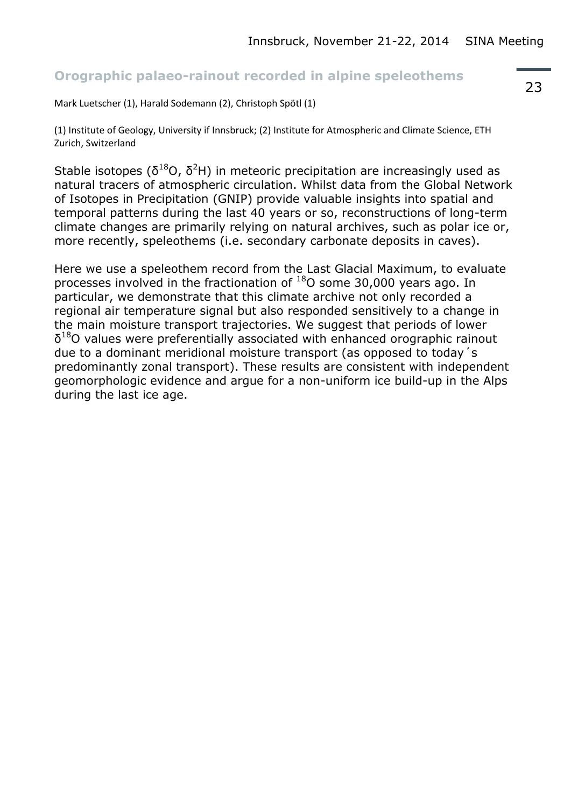#### **Orographic palaeo-rainout recorded in alpine speleothems**

Mark Luetscher (1), Harald Sodemann (2), Christoph Spötl (1)

(1) Institute of Geology, University if Innsbruck; (2) Institute for Atmospheric and Climate Science, ETH Zurich, Switzerland

Stable isotopes ( $\delta^{18}$ O,  $\delta^2$ H) in meteoric precipitation are increasingly used as natural tracers of atmospheric circulation. Whilst data from the Global Network of Isotopes in Precipitation (GNIP) provide valuable insights into spatial and temporal patterns during the last 40 years or so, reconstructions of long-term climate changes are primarily relying on natural archives, such as polar ice or, more recently, speleothems (i.e. secondary carbonate deposits in caves).

Here we use a speleothem record from the Last Glacial Maximum, to evaluate processes involved in the fractionation of <sup>18</sup>O some 30,000 years ago. In particular, we demonstrate that this climate archive not only recorded a regional air temperature signal but also responded sensitively to a change in the main moisture transport trajectories. We suggest that periods of lower  $\delta^{18}$ O values were preferentially associated with enhanced orographic rainout due to a dominant meridional moisture transport (as opposed to today´s predominantly zonal transport). These results are consistent with independent geomorphologic evidence and argue for a non-uniform ice build-up in the Alps during the last ice age.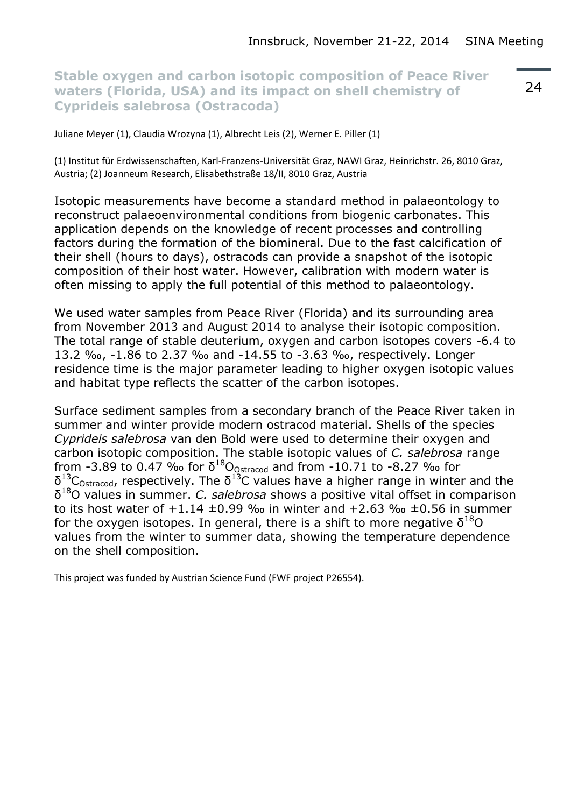**Stable oxygen and carbon isotopic composition of Peace River waters (Florida, USA) and its impact on shell chemistry of Cyprideis salebrosa (Ostracoda)** 

Juliane Meyer (1), Claudia Wrozyna (1), Albrecht Leis (2), Werner E. Piller (1)

(1) Institut für Erdwissenschaften, Karl-Franzens-Universität Graz, NAWI Graz, Heinrichstr. 26, 8010 Graz, Austria; (2) Joanneum Research, Elisabethstraße 18/II, 8010 Graz, Austria

Isotopic measurements have become a standard method in palaeontology to reconstruct palaeoenvironmental conditions from biogenic carbonates. This application depends on the knowledge of recent processes and controlling factors during the formation of the biomineral. Due to the fast calcification of their shell (hours to days), ostracods can provide a snapshot of the isotopic composition of their host water. However, calibration with modern water is often missing to apply the full potential of this method to palaeontology.

We used water samples from Peace River (Florida) and its surrounding area from November 2013 and August 2014 to analyse their isotopic composition. The total range of stable deuterium, oxygen and carbon isotopes covers -6.4 to 13.2 ‰, -1.86 to 2.37 ‰ and -14.55 to -3.63 ‰, respectively. Longer residence time is the major parameter leading to higher oxygen isotopic values and habitat type reflects the scatter of the carbon isotopes.

Surface sediment samples from a secondary branch of the Peace River taken in summer and winter provide modern ostracod material. Shells of the species *Cyprideis salebrosa* van den Bold were used to determine their oxygen and carbon isotopic composition. The stable isotopic values of *C. salebrosa* range from -3.89 to 0.47 ‰ for  $δ$ <sup>18</sup>O<sub>Ostracod</sub> and from -10.71 to -8.27 ‰ for  $\delta^{13}C_{Ostracod}$ , respectively. The  $\delta^{13}C$  values have a higher range in winter and the δ <sup>18</sup>O values in summer. *C. salebrosa* shows a positive vital offset in comparison to its host water of  $+1.14 \pm 0.99$  ‰ in winter and  $+2.63$  ‰  $\pm 0.56$  in summer for the oxygen isotopes. In general, there is a shift to more negative  $\delta^{18}O$ values from the winter to summer data, showing the temperature dependence on the shell composition.

This project was funded by Austrian Science Fund (FWF project P26554).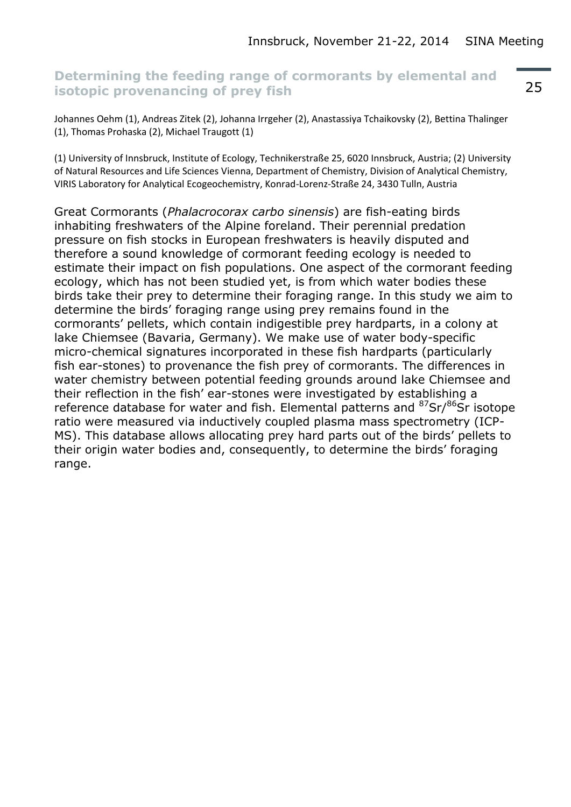### **Determining the feeding range of cormorants by elemental and isotopic provenancing of prey fish**

Johannes Oehm (1), Andreas Zitek (2), Johanna Irrgeher (2), Anastassiya Tchaikovsky (2), Bettina Thalinger (1), Thomas Prohaska (2), Michael Traugott (1)

(1) University of Innsbruck, Institute of Ecology, Technikerstraße 25, 6020 Innsbruck, Austria; (2) University of Natural Resources and Life Sciences Vienna, Department of Chemistry, Division of Analytical Chemistry, VIRIS Laboratory for Analytical Ecogeochemistry, Konrad-Lorenz-Straße 24, 3430 Tulln, Austria

Great Cormorants (*Phalacrocorax carbo sinensis*) are fish-eating birds inhabiting freshwaters of the Alpine foreland. Their perennial predation pressure on fish stocks in European freshwaters is heavily disputed and therefore a sound knowledge of cormorant feeding ecology is needed to estimate their impact on fish populations. One aspect of the cormorant feeding ecology, which has not been studied yet, is from which water bodies these birds take their prey to determine their foraging range. In this study we aim to determine the birds' foraging range using prey remains found in the cormorants' pellets, which contain indigestible prey hardparts, in a colony at lake Chiemsee (Bavaria, Germany). We make use of water body-specific micro-chemical signatures incorporated in these fish hardparts (particularly fish ear-stones) to provenance the fish prey of cormorants. The differences in water chemistry between potential feeding grounds around lake Chiemsee and their reflection in the fish' ear-stones were investigated by establishing a reference database for water and fish. Elemental patterns and  $87\$ Sr/ $86$ Sr isotope ratio were measured via inductively coupled plasma mass spectrometry (ICP-MS). This database allows allocating prey hard parts out of the birds' pellets to their origin water bodies and, consequently, to determine the birds' foraging range.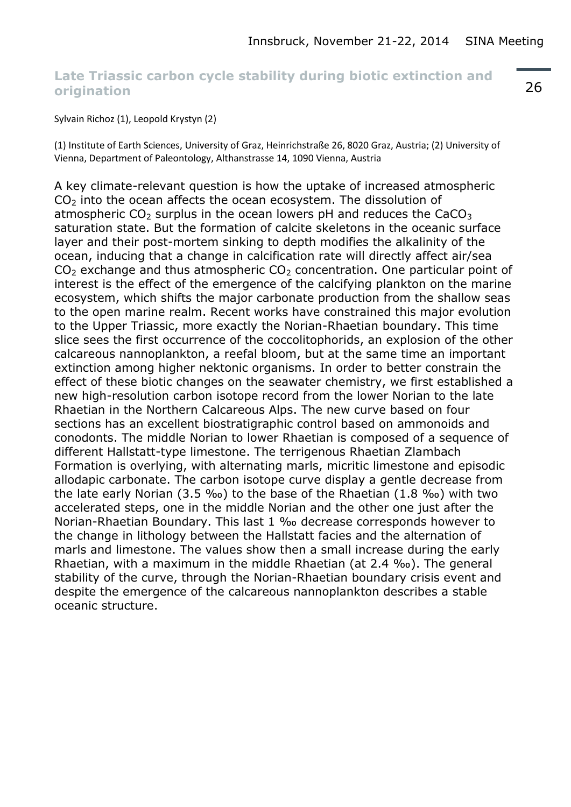#### **Late Triassic carbon cycle stability during biotic extinction and origination**

Sylvain Richoz (1), Leopold Krystyn (2)

(1) Institute of Earth Sciences, University of Graz, Heinrichstraße 26, 8020 Graz, Austria; (2) University of Vienna, Department of Paleontology, Althanstrasse 14, 1090 Vienna, Austria

A key climate-relevant question is how the uptake of increased atmospheric CO<sup>2</sup> into the ocean affects the ocean ecosystem. The dissolution of atmospheric  $CO<sub>2</sub>$  surplus in the ocean lowers pH and reduces the CaCO<sub>3</sub> saturation state. But the formation of calcite skeletons in the oceanic surface layer and their post-mortem sinking to depth modifies the alkalinity of the ocean, inducing that a change in calcification rate will directly affect air/sea  $CO<sub>2</sub>$  exchange and thus atmospheric  $CO<sub>2</sub>$  concentration. One particular point of interest is the effect of the emergence of the calcifying plankton on the marine ecosystem, which shifts the major carbonate production from the shallow seas to the open marine realm. Recent works have constrained this major evolution to the Upper Triassic, more exactly the Norian-Rhaetian boundary. This time slice sees the first occurrence of the coccolitophorids, an explosion of the other calcareous nannoplankton, a reefal bloom, but at the same time an important extinction among higher nektonic organisms. In order to better constrain the effect of these biotic changes on the seawater chemistry, we first established a new high-resolution carbon isotope record from the lower Norian to the late Rhaetian in the Northern Calcareous Alps. The new curve based on four sections has an excellent biostratigraphic control based on ammonoids and conodonts. The middle Norian to lower Rhaetian is composed of a sequence of different Hallstatt-type limestone. The terrigenous Rhaetian Zlambach Formation is overlying, with alternating marls, micritic limestone and episodic allodapic carbonate. The carbon isotope curve display a gentle decrease from the late early Norian (3.5 ‰) to the base of the Rhaetian (1.8 ‰) with two accelerated steps, one in the middle Norian and the other one just after the Norian-Rhaetian Boundary. This last 1 ‰ decrease corresponds however to the change in lithology between the Hallstatt facies and the alternation of marls and limestone. The values show then a small increase during the early Rhaetian, with a maximum in the middle Rhaetian (at 2.4 ‰). The general stability of the curve, through the Norian-Rhaetian boundary crisis event and despite the emergence of the calcareous nannoplankton describes a stable oceanic structure.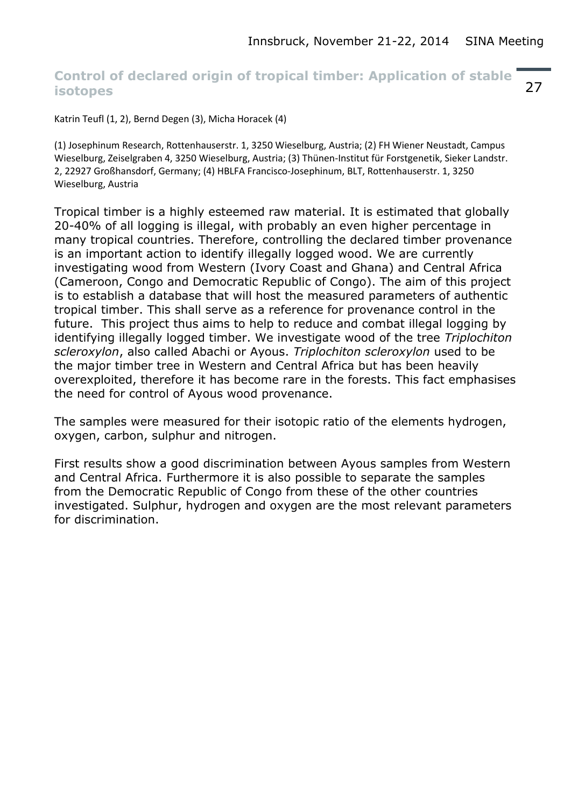### **Control of declared origin of tropical timber: Application of stable isotopes**

Katrin Teufl (1, 2), Bernd Degen (3), Micha Horacek (4)

(1) Josephinum Research, Rottenhauserstr. 1, 3250 Wieselburg, Austria; (2) FH Wiener Neustadt, Campus Wieselburg, Zeiselgraben 4, 3250 Wieselburg, Austria; (3) Thünen-Institut für Forstgenetik, Sieker Landstr. 2, 22927 Großhansdorf, Germany; (4) HBLFA Francisco-Josephinum, BLT, Rottenhauserstr. 1, 3250 Wieselburg, Austria

Tropical timber is a highly esteemed raw material. It is estimated that globally 20-40% of all logging is illegal, with probably an even higher percentage in many tropical countries. Therefore, controlling the declared timber provenance is an important action to identify illegally logged wood. We are currently investigating wood from Western (Ivory Coast and Ghana) and Central Africa (Cameroon, Congo and Democratic Republic of Congo). The aim of this project is to establish a database that will host the measured parameters of authentic tropical timber. This shall serve as a reference for provenance control in the future. This project thus aims to help to reduce and combat illegal logging by identifying illegally logged timber. We investigate wood of the tree *Triplochiton scleroxylon*, also called Abachi or Ayous. *Triplochiton scleroxylon* used to be the major timber tree in Western and Central Africa but has been heavily overexploited, therefore it has become rare in the forests. This fact emphasises the need for control of Ayous wood provenance.

The samples were measured for their isotopic ratio of the elements hydrogen, oxygen, carbon, sulphur and nitrogen.

First results show a good discrimination between Ayous samples from Western and Central Africa. Furthermore it is also possible to separate the samples from the Democratic Republic of Congo from these of the other countries investigated. Sulphur, hydrogen and oxygen are the most relevant parameters for discrimination.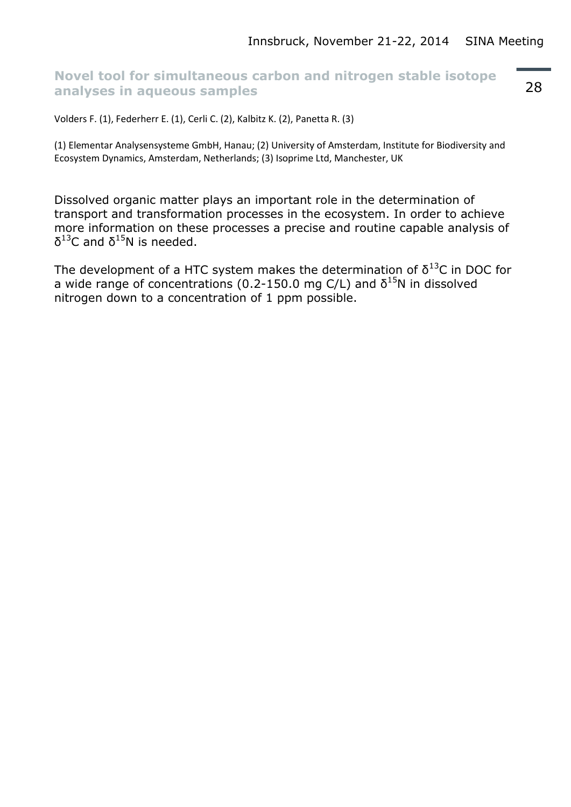#### **Novel tool for simultaneous carbon and nitrogen stable isotope analyses in aqueous samples**

Volders F. (1), Federherr E. (1), Cerli C. (2), Kalbitz K. (2), Panetta R. (3)

(1) Elementar Analysensysteme GmbH, Hanau; (2) University of Amsterdam, Institute for Biodiversity and Ecosystem Dynamics, Amsterdam, Netherlands; (3) Isoprime Ltd, Manchester, UK

Dissolved organic matter plays an important role in the determination of transport and transformation processes in the ecosystem. In order to achieve more information on these processes a precise and routine capable analysis of  $\delta^{13}$ C and  $\delta^{15}$ N is needed.

The development of a HTC system makes the determination of  $\delta^{13}C$  in DOC for a wide range of concentrations (0.2-150.0 mg C/L) and  $\delta^{15}N$  in dissolved nitrogen down to a concentration of 1 ppm possible.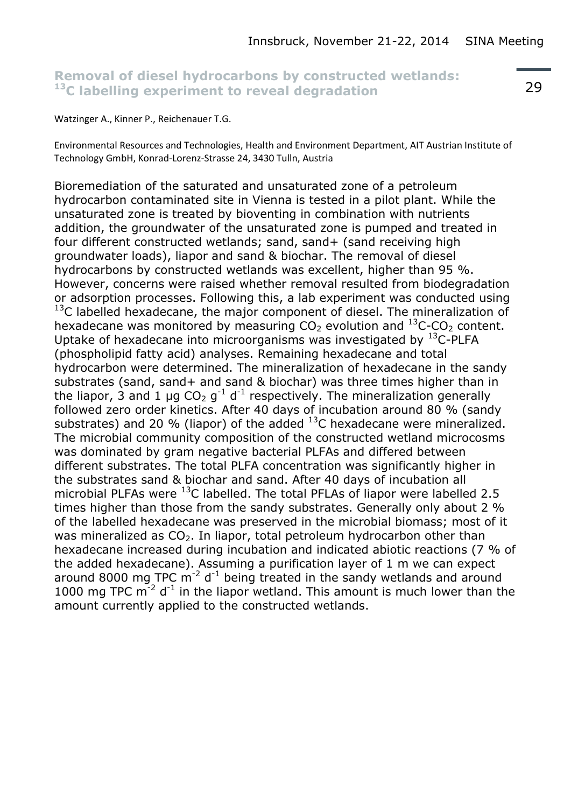## **Removal of diesel hydrocarbons by constructed wetlands: <sup>13</sup>C labelling experiment to reveal degradation**

#### Watzinger A., Kinner P., Reichenauer T.G.

Environmental Resources and Technologies, Health and Environment Department, AIT Austrian Institute of Technology GmbH, Konrad-Lorenz-Strasse 24, 3430 Tulln, Austria

Bioremediation of the saturated and unsaturated zone of a petroleum hydrocarbon contaminated site in Vienna is tested in a pilot plant. While the unsaturated zone is treated by bioventing in combination with nutrients addition, the groundwater of the unsaturated zone is pumped and treated in four different constructed wetlands; sand, sand+ (sand receiving high groundwater loads), liapor and sand & biochar. The removal of diesel hydrocarbons by constructed wetlands was excellent, higher than 95 %. However, concerns were raised whether removal resulted from biodegradation or adsorption processes. Following this, a lab experiment was conducted using  $13C$  labelled hexadecane, the major component of diesel. The mineralization of hexadecane was monitored by measuring  $CO<sub>2</sub>$  evolution and  $^{13}$ C-CO<sub>2</sub> content. Uptake of hexadecane into microorganisms was investigated by  $^{13}$ C-PLFA (phospholipid fatty acid) analyses. Remaining hexadecane and total hydrocarbon were determined. The mineralization of hexadecane in the sandy substrates (sand, sand+ and sand & biochar) was three times higher than in the liapor, 3 and 1  $\mu$ g CO<sub>2</sub> g<sup>-1</sup> d<sup>-1</sup> respectively. The mineralization generally followed zero order kinetics. After 40 days of incubation around 80 % (sandy substrates) and 20 % (liapor) of the added  $^{13}$ C hexadecane were mineralized. The microbial community composition of the constructed wetland microcosms was dominated by gram negative bacterial PLFAs and differed between different substrates. The total PLFA concentration was significantly higher in the substrates sand & biochar and sand. After 40 days of incubation all microbial PLFAs were  $^{13}$ C labelled. The total PFLAs of liapor were labelled 2.5 times higher than those from the sandy substrates. Generally only about 2 % of the labelled hexadecane was preserved in the microbial biomass; most of it was mineralized as  $CO<sub>2</sub>$ . In liapor, total petroleum hydrocarbon other than hexadecane increased during incubation and indicated abiotic reactions (7 % of the added hexadecane). Assuming a purification layer of 1 m we can expect around 8000 mg TPC  $m^{-2}$  d<sup>-1</sup> being treated in the sandy wetlands and around 1000 mg TPC  $m^{-2}$  d<sup>-1</sup> in the liapor wetland. This amount is much lower than the amount currently applied to the constructed wetlands.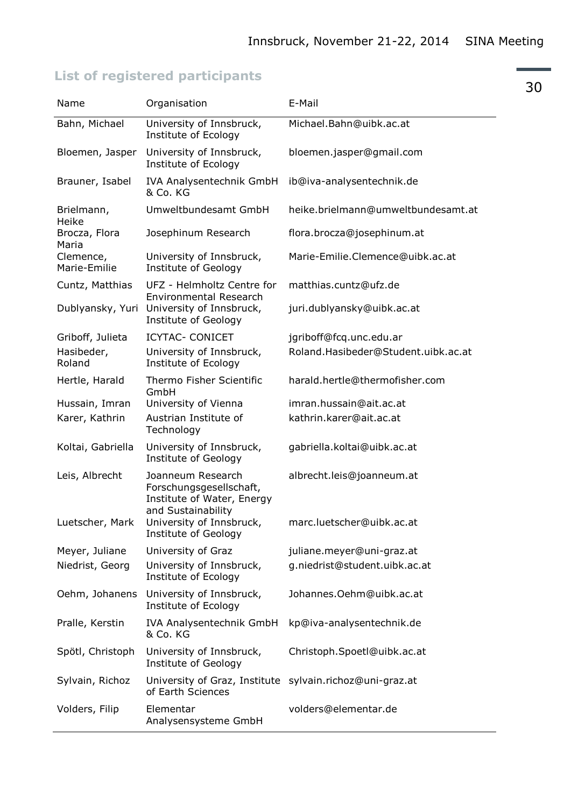## **List of registered participants**

| Name                      | Organisation                                                                                     | E-Mail                              |
|---------------------------|--------------------------------------------------------------------------------------------------|-------------------------------------|
| Bahn, Michael             | University of Innsbruck,<br>Institute of Ecology                                                 | Michael.Bahn@uibk.ac.at             |
| Bloemen, Jasper           | University of Innsbruck,<br>Institute of Ecology                                                 | bloemen.jasper@gmail.com            |
| Brauner, Isabel           | IVA Analysentechnik GmbH<br>& Co. KG                                                             | ib@iva-analysentechnik.de           |
| Brielmann,<br>Heike       | Umweltbundesamt GmbH                                                                             | heike.brielmann@umweltbundesamt.at  |
| Brocza, Flora<br>Maria    | Josephinum Research                                                                              | flora.brocza@josephinum.at          |
| Clemence,<br>Marie-Emilie | University of Innsbruck,<br>Institute of Geology                                                 | Marie-Emilie.Clemence@uibk.ac.at    |
| Cuntz, Matthias           | UFZ - Helmholtz Centre for<br><b>Environmental Research</b>                                      | matthias.cuntz@ufz.de               |
| Dublyansky, Yuri          | University of Innsbruck,<br>Institute of Geology                                                 | juri.dublyansky@uibk.ac.at          |
| Griboff, Julieta          | <b>ICYTAC- CONICET</b>                                                                           | jgriboff@fcq.unc.edu.ar             |
| Hasibeder,<br>Roland      | University of Innsbruck,<br>Institute of Ecology                                                 | Roland.Hasibeder@Student.uibk.ac.at |
| Hertle, Harald            | Thermo Fisher Scientific<br>GmbH                                                                 | harald.hertle@thermofisher.com      |
| Hussain, Imran            | University of Vienna                                                                             | imran.hussain@ait.ac.at             |
| Karer, Kathrin            | Austrian Institute of<br>Technology                                                              | kathrin.karer@ait.ac.at             |
| Koltai, Gabriella         | University of Innsbruck,<br>Institute of Geology                                                 | gabriella.koltai@uibk.ac.at         |
| Leis, Albrecht            | Joanneum Research<br>Forschungsgesellschaft,<br>Institute of Water, Energy<br>and Sustainability | albrecht.leis@joanneum.at           |
| Luetscher, Mark           | University of Innsbruck,<br>Institute of Geology                                                 | marc.luetscher@uibk.ac.at           |
| Meyer, Juliane            | University of Graz                                                                               | juliane.meyer@uni-graz.at           |
| Niedrist, Georg           | University of Innsbruck,<br>Institute of Ecology                                                 | g.niedrist@student.uibk.ac.at       |
| Oehm, Johanens            | University of Innsbruck,<br>Institute of Ecology                                                 | Johannes.Oehm@uibk.ac.at            |
| Pralle, Kerstin           | IVA Analysentechnik GmbH<br>& Co. KG                                                             | kp@iva-analysentechnik.de           |
| Spötl, Christoph          | University of Innsbruck,<br>Institute of Geology                                                 | Christoph.Spoetl@uibk.ac.at         |
| Sylvain, Richoz           | University of Graz, Institute sylvain.richoz@uni-graz.at<br>of Earth Sciences                    |                                     |
| Volders, Filip            | Elementar<br>Analysensysteme GmbH                                                                | volders@elementar.de                |